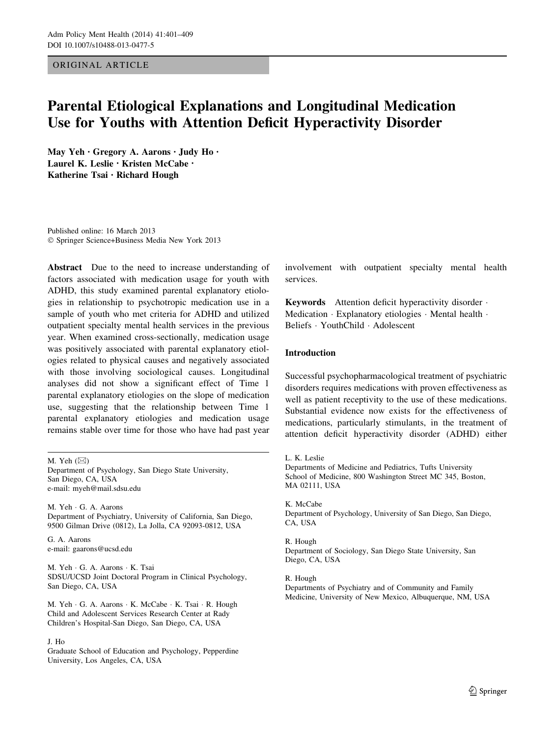## ORIGINAL ARTICLE

# Parental Etiological Explanations and Longitudinal Medication Use for Youths with Attention Deficit Hyperactivity Disorder

May Yeh • Gregory A. Aarons • Judy Ho • Laurel K. Leslie · Kristen McCabe · Katherine Tsai • Richard Hough

Published online: 16 March 2013 ! Springer Science+Business Media New York 2013

Abstract Due to the need to increase understanding of factors associated with medication usage for youth with ADHD, this study examined parental explanatory etiologies in relationship to psychotropic medication use in a sample of youth who met criteria for ADHD and utilized outpatient specialty mental health services in the previous year. When examined cross-sectionally, medication usage was positively associated with parental explanatory etiologies related to physical causes and negatively associated with those involving sociological causes. Longitudinal analyses did not show a significant effect of Time 1 parental explanatory etiologies on the slope of medication use, suggesting that the relationship between Time 1 parental explanatory etiologies and medication usage remains stable over time for those who have had past year

Department of Psychology, San Diego State University, San Diego, CA, USA e-mail: myeh@mail.sdsu.edu

M. Yeh · G. A. Aarons Department of Psychiatry, University of California, San Diego, 9500 Gilman Drive (0812), La Jolla, CA 92093-0812, USA

G. A. Aarons e-mail: gaarons@ucsd.edu

M. Yeh · G. A. Aarons · K. Tsai SDSU/UCSD Joint Doctoral Program in Clinical Psychology, San Diego, CA, USA

M. Yeh · G. A. Aarons · K. McCabe · K. Tsai · R. Hough Child and Adolescent Services Research Center at Rady Children's Hospital-San Diego, San Diego, CA, USA

#### J. Ho

Graduate School of Education and Psychology, Pepperdine University, Los Angeles, CA, USA

involvement with outpatient specialty mental health services.

Keywords Attention deficit hyperactivity disorder . Medication · Explanatory etiologies · Mental health · Beliefs · YouthChild · Adolescent

## Introduction

Successful psychopharmacological treatment of psychiatric disorders requires medications with proven effectiveness as well as patient receptivity to the use of these medications. Substantial evidence now exists for the effectiveness of medications, particularly stimulants, in the treatment of attention deficit hyperactivity disorder (ADHD) either

K. McCabe Department of Psychology, University of San Diego, San Diego, CA, USA

R. Hough Department of Sociology, San Diego State University, San Diego, CA, USA

R. Hough Departments of Psychiatry and of Community and Family Medicine, University of New Mexico, Albuquerque, NM, USA

M. Yeh  $(\boxtimes)$ 

L. K. Leslie Departments of Medicine and Pediatrics, Tufts University School of Medicine, 800 Washington Street MC 345, Boston, MA 02111, USA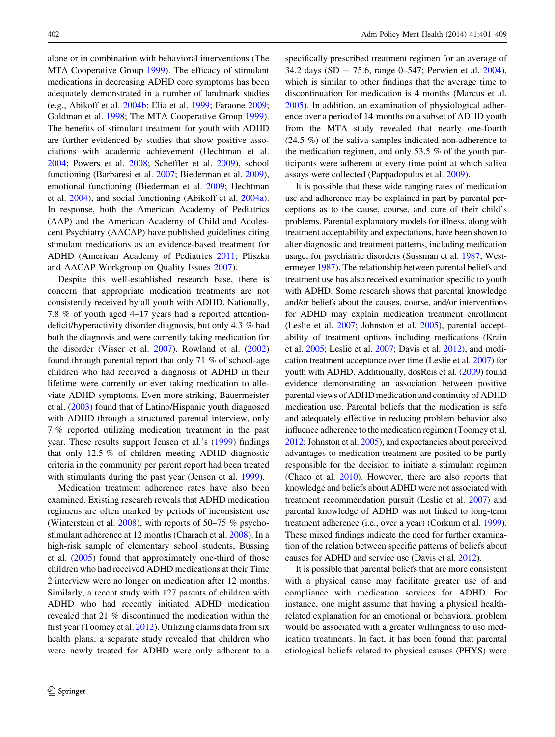alone or in combination with behavioral interventions (The MTA Cooperative Group [1999](#page-7-0)). The efficacy of stimulant medications in decreasing ADHD core symptoms has been adequately demonstrated in a number of landmark studies (e.g., Abikoff et al. [2004b](#page-6-0); Elia et al. [1999](#page-6-0); Faraone [2009](#page-6-0); Goldman et al. [1998;](#page-7-0) The MTA Cooperative Group [1999](#page-7-0)). The benefits of stimulant treatment for youth with ADHD are further evidenced by studies that show positive associations with academic achievement (Hechtman et al. [2004;](#page-7-0) Powers et al. [2008](#page-7-0); Scheffler et al. [2009\)](#page-7-0), school functioning (Barbaresi et al. [2007;](#page-6-0) Biederman et al. [2009](#page-6-0)), emotional functioning (Biederman et al. [2009](#page-6-0); Hechtman et al. [2004\)](#page-7-0), and social functioning (Abikoff et al. [2004a](#page-6-0)). In response, both the American Academy of Pediatrics (AAP) and the American Academy of Child and Adolescent Psychiatry (AACAP) have published guidelines citing stimulant medications as an evidence-based treatment for ADHD (American Academy of Pediatrics [2011;](#page-6-0) Pliszka and AACAP Workgroup on Quality Issues [2007\)](#page-7-0).

Despite this well-established research base, there is concern that appropriate medication treatments are not consistently received by all youth with ADHD. Nationally, 7.8 % of youth aged 4–17 years had a reported attentiondeficit/hyperactivity disorder diagnosis, but only 4.3 % had both the diagnosis and were currently taking medication for the disorder (Visser et al. [2007](#page-7-0)). Rowland et al. ([2002\)](#page-7-0) found through parental report that only 71 % of school-age children who had received a diagnosis of ADHD in their lifetime were currently or ever taking medication to alleviate ADHD symptoms. Even more striking, Bauermeister et al. [\(2003](#page-6-0)) found that of Latino/Hispanic youth diagnosed with ADHD through a structured parental interview, only 7 % reported utilizing medication treatment in the past year. These results support Jensen et al.'s [\(1999](#page-7-0)) findings that only 12.5 % of children meeting ADHD diagnostic criteria in the community per parent report had been treated with stimulants during the past year (Jensen et al. [1999\)](#page-7-0).

Medication treatment adherence rates have also been examined. Existing research reveals that ADHD medication regimens are often marked by periods of inconsistent use (Winterstein et al. [2008\)](#page-8-0), with reports of 50–75 % psychostimulant adherence at 12 months (Charach et al. [2008](#page-6-0)). In a high-risk sample of elementary school students, Bussing et al. [\(2005](#page-6-0)) found that approximately one-third of those children who had received ADHD medications at their Time 2 interview were no longer on medication after 12 months. Similarly, a recent study with 127 parents of children with ADHD who had recently initiated ADHD medication revealed that 21 % discontinued the medication within the first year (Toomey et al. [2012\)](#page-7-0). Utilizing claims data from six health plans, a separate study revealed that children who were newly treated for ADHD were only adherent to a specifically prescribed treatment regimen for an average of 34.2 days (SD = 75.6, range 0–547; Perwien et al. [2004](#page-7-0)), which is similar to other findings that the average time to discontinuation for medication is 4 months (Marcus et al. [2005](#page-7-0)). In addition, an examination of physiological adherence over a period of 14 months on a subset of ADHD youth from the MTA study revealed that nearly one-fourth (24.5 %) of the saliva samples indicated non-adherence to the medication regimen, and only 53.5 % of the youth participants were adherent at every time point at which saliva assays were collected (Pappadopulos et al. [2009](#page-7-0)).

It is possible that these wide ranging rates of medication use and adherence may be explained in part by parental perceptions as to the cause, course, and cure of their child's problems. Parental explanatory models for illness, along with treatment acceptability and expectations, have been shown to alter diagnostic and treatment patterns, including medication usage, for psychiatric disorders (Sussman et al. [1987](#page-7-0); Westermeyer [1987\)](#page-7-0). The relationship between parental beliefs and treatment use has also received examination specific to youth with ADHD. Some research shows that parental knowledge and/or beliefs about the causes, course, and/or interventions for ADHD may explain medication treatment enrollment (Leslie et al. [2007](#page-7-0); Johnston et al. [2005\)](#page-7-0), parental acceptability of treatment options including medications (Krain et al. [2005](#page-7-0); Leslie et al. [2007](#page-7-0); Davis et al. [2012\)](#page-6-0), and medication treatment acceptance over time (Leslie et al. [2007](#page-7-0)) for youth with ADHD. Additionally, dosReis et al. [\(2009\)](#page-6-0) found evidence demonstrating an association between positive parental views of ADHD medication and continuity of ADHD medication use. Parental beliefs that the medication is safe and adequately effective in reducing problem behavior also influence adherence to the medication regimen (Toomey et al. [2012;](#page-7-0) Johnston et al. [2005\)](#page-7-0), and expectancies about perceived advantages to medication treatment are posited to be partly responsible for the decision to initiate a stimulant regimen (Chaco et al. [2010](#page-6-0)). However, there are also reports that knowledge and beliefs about ADHD were not associated with treatment recommendation pursuit (Leslie et al. [2007\)](#page-7-0) and parental knowledge of ADHD was not linked to long-term treatment adherence (i.e., over a year) (Corkum et al. [1999\)](#page-6-0). These mixed findings indicate the need for further examination of the relation between specific patterns of beliefs about causes for ADHD and service use (Davis et al. [2012\)](#page-6-0).

It is possible that parental beliefs that are more consistent with a physical cause may facilitate greater use of and compliance with medication services for ADHD. For instance, one might assume that having a physical healthrelated explanation for an emotional or behavioral problem would be associated with a greater willingness to use medication treatments. In fact, it has been found that parental etiological beliefs related to physical causes (PHYS) were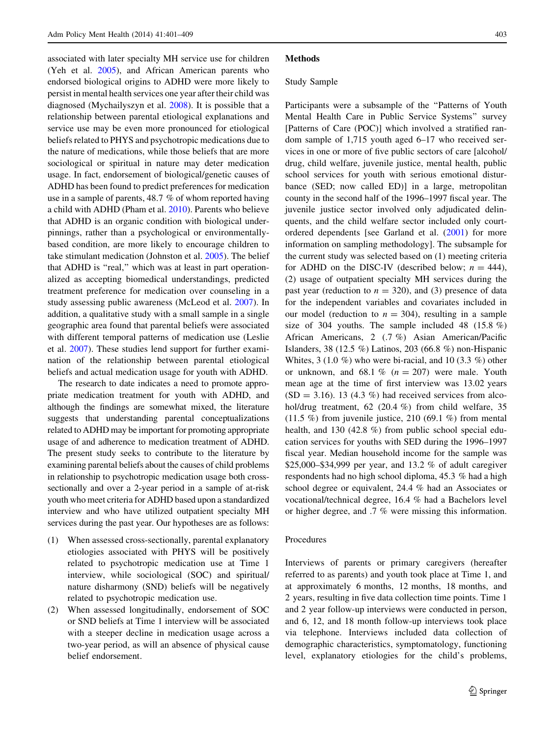associated with later specialty MH service use for children (Yeh et al. [2005\)](#page-8-0), and African American parents who endorsed biological origins to ADHD were more likely to persist in mental health services one year after their child was diagnosed (Mychailyszyn et al. [2008\)](#page-7-0). It is possible that a relationship between parental etiological explanations and service use may be even more pronounced for etiological beliefs related to PHYS and psychotropic medications due to the nature of medications, while those beliefs that are more sociological or spiritual in nature may deter medication usage. In fact, endorsement of biological/genetic causes of ADHD has been found to predict preferences for medication use in a sample of parents, 48.7 % of whom reported having a child with ADHD (Pham et al. [2010\)](#page-7-0). Parents who believe that ADHD is an organic condition with biological underpinnings, rather than a psychological or environmentallybased condition, are more likely to encourage children to take stimulant medication (Johnston et al. [2005\)](#page-7-0). The belief that ADHD is ''real,'' which was at least in part operationalized as accepting biomedical understandings, predicted treatment preference for medication over counseling in a study assessing public awareness (McLeod et al. [2007\)](#page-7-0). In addition, a qualitative study with a small sample in a single geographic area found that parental beliefs were associated with different temporal patterns of medication use (Leslie et al. [2007\)](#page-7-0). These studies lend support for further examination of the relationship between parental etiological beliefs and actual medication usage for youth with ADHD.

The research to date indicates a need to promote appropriate medication treatment for youth with ADHD, and although the findings are somewhat mixed, the literature suggests that understanding parental conceptualizations related to ADHD may be important for promoting appropriate usage of and adherence to medication treatment of ADHD. The present study seeks to contribute to the literature by examining parental beliefs about the causes of child problems in relationship to psychotropic medication usage both crosssectionally and over a 2-year period in a sample of at-risk youth who meet criteria for ADHD based upon a standardized interview and who have utilized outpatient specialty MH services during the past year. Our hypotheses are as follows:

- (1) When assessed cross-sectionally, parental explanatory etiologies associated with PHYS will be positively related to psychotropic medication use at Time 1 interview, while sociological (SOC) and spiritual/ nature disharmony (SND) beliefs will be negatively related to psychotropic medication use.
- (2) When assessed longitudinally, endorsement of SOC or SND beliefs at Time 1 interview will be associated with a steeper decline in medication usage across a two-year period, as will an absence of physical cause belief endorsement.

### **Methods**

#### Study Sample

Participants were a subsample of the "Patterns of Youth" Mental Health Care in Public Service Systems'' survey [Patterns of Care (POC)] which involved a stratified random sample of 1,715 youth aged 6–17 who received services in one or more of five public sectors of care [alcohol/ drug, child welfare, juvenile justice, mental health, public school services for youth with serious emotional disturbance (SED; now called ED)] in a large, metropolitan county in the second half of the 1996–1997 fiscal year. The juvenile justice sector involved only adjudicated delinquents, and the child welfare sector included only courtordered dependents [see Garland et al. [\(2001](#page-6-0)) for more information on sampling methodology]. The subsample for the current study was selected based on (1) meeting criteria for ADHD on the DISC-IV (described below;  $n = 444$ ), (2) usage of outpatient specialty MH services during the past year (reduction to  $n = 320$ ), and (3) presence of data for the independent variables and covariates included in our model (reduction to  $n = 304$ ), resulting in a sample size of 304 youths. The sample included 48 (15.8 %) African Americans, 2 (.7 %) Asian American/Pacific Islanders, 38 (12.5 %) Latinos, 203 (66.8 %) non-Hispanic Whites,  $3(1.0\%)$  who were bi-racial, and  $10(3.3\%)$  other or unknown, and 68.1 %  $(n = 207)$  were male. Youth mean age at the time of first interview was 13.02 years  $(SD = 3.16)$ . 13 (4.3 %) had received services from alcohol/drug treatment, 62 (20.4 %) from child welfare, 35  $(11.5\%)$  from juvenile justice, 210 (69.1 %) from mental health, and 130 (42.8 %) from public school special education services for youths with SED during the 1996–1997 fiscal year. Median household income for the sample was \$25,000–\$34,999 per year, and 13.2 % of adult caregiver respondents had no high school diploma, 45.3 % had a high school degree or equivalent, 24.4 % had an Associates or vocational/technical degree, 16.4 % had a Bachelors level or higher degree, and .7 % were missing this information.

### Procedures

Interviews of parents or primary caregivers (hereafter referred to as parents) and youth took place at Time 1, and at approximately 6 months, 12 months, 18 months, and 2 years, resulting in five data collection time points. Time 1 and 2 year follow-up interviews were conducted in person, and 6, 12, and 18 month follow-up interviews took place via telephone. Interviews included data collection of demographic characteristics, symptomatology, functioning level, explanatory etiologies for the child's problems,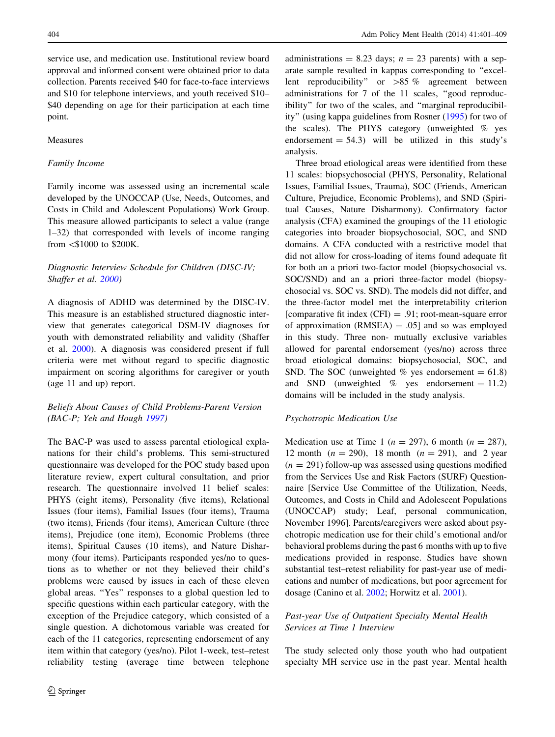service use, and medication use. Institutional review board approval and informed consent were obtained prior to data collection. Parents received \$40 for face-to-face interviews and \$10 for telephone interviews, and youth received \$10– \$40 depending on age for their participation at each time point.

## Measures

# Family Income

Family income was assessed using an incremental scale developed by the UNOCCAP (Use, Needs, Outcomes, and Costs in Child and Adolescent Populations) Work Group. This measure allowed participants to select a value (range 1–32) that corresponded with levels of income ranging from \\$1000 to \$200K.

# Diagnostic Interview Schedule for Children (DISC-IV; Shaffer et al. [2000](#page-7-0))

A diagnosis of ADHD was determined by the DISC-IV. This measure is an established structured diagnostic interview that generates categorical DSM-IV diagnoses for youth with demonstrated reliability and validity (Shaffer et al. [2000\)](#page-7-0). A diagnosis was considered present if full criteria were met without regard to specific diagnostic impairment on scoring algorithms for caregiver or youth (age 11 and up) report.

# Beliefs About Causes of Child Problems-Parent Version (BAC-P; Yeh and Hough [1997](#page-8-0))

The BAC-P was used to assess parental etiological explanations for their child's problems. This semi-structured questionnaire was developed for the POC study based upon literature review, expert cultural consultation, and prior research. The questionnaire involved 11 belief scales: PHYS (eight items), Personality (five items), Relational Issues (four items), Familial Issues (four items), Trauma (two items), Friends (four items), American Culture (three items), Prejudice (one item), Economic Problems (three items), Spiritual Causes (10 items), and Nature Disharmony (four items). Participants responded yes/no to questions as to whether or not they believed their child's problems were caused by issues in each of these eleven global areas. ''Yes'' responses to a global question led to specific questions within each particular category, with the exception of the Prejudice category, which consisted of a single question. A dichotomous variable was created for each of the 11 categories, representing endorsement of any item within that category (yes/no). Pilot 1-week, test–retest reliability testing (average time between telephone

administrations = 8.23 days;  $n = 23$  parents) with a separate sample resulted in kappas corresponding to ''excellent reproducibility" or  $>85 \%$  agreement between administrations for 7 of the 11 scales, ''good reproducibility'' for two of the scales, and ''marginal reproducibility'' (using kappa guidelines from Rosner [\(1995](#page-7-0)) for two of the scales). The PHYS category (unweighted % yes endorsement  $= 54.3$ ) will be utilized in this study's analysis.

Three broad etiological areas were identified from these 11 scales: biopsychosocial (PHYS, Personality, Relational Issues, Familial Issues, Trauma), SOC (Friends, American Culture, Prejudice, Economic Problems), and SND (Spiritual Causes, Nature Disharmony). Confirmatory factor analysis (CFA) examined the groupings of the 11 etiologic categories into broader biopsychosocial, SOC, and SND domains. A CFA conducted with a restrictive model that did not allow for cross-loading of items found adequate fit for both an a priori two-factor model (biopsychosocial vs. SOC/SND) and an a priori three-factor model (biopsychosocial vs. SOC vs. SND). The models did not differ, and the three-factor model met the interpretability criterion [comparative fit index  $(CFI) = .91$ ; root-mean-square error of approximation  $(RMSEA) = .05$ ] and so was employed in this study. Three non- mutually exclusive variables allowed for parental endorsement (yes/no) across three broad etiological domains: biopsychosocial, SOC, and SND. The SOC (unweighted % yes endorsement  $= 61.8$ ) and SND (unweighted  $%$  yes endorsement = 11.2) domains will be included in the study analysis.

#### Psychotropic Medication Use

Medication use at Time 1 ( $n = 297$ ), 6 month ( $n = 287$ ), 12 month ( $n = 290$ ), 18 month ( $n = 291$ ), and 2 year  $(n = 291)$  follow-up was assessed using questions modified from the Services Use and Risk Factors (SURF) Questionnaire [Service Use Committee of the Utilization, Needs, Outcomes, and Costs in Child and Adolescent Populations (UNOCCAP) study; Leaf, personal communication, November 1996]. Parents/caregivers were asked about psychotropic medication use for their child's emotional and/or behavioral problems during the past 6 months with up to five medications provided in response. Studies have shown substantial test–retest reliability for past-year use of medications and number of medications, but poor agreement for dosage (Canino et al. [2002](#page-6-0); Horwitz et al. [2001\)](#page-7-0).

# Past-year Use of Outpatient Specialty Mental Health Services at Time 1 Interview

The study selected only those youth who had outpatient specialty MH service use in the past year. Mental health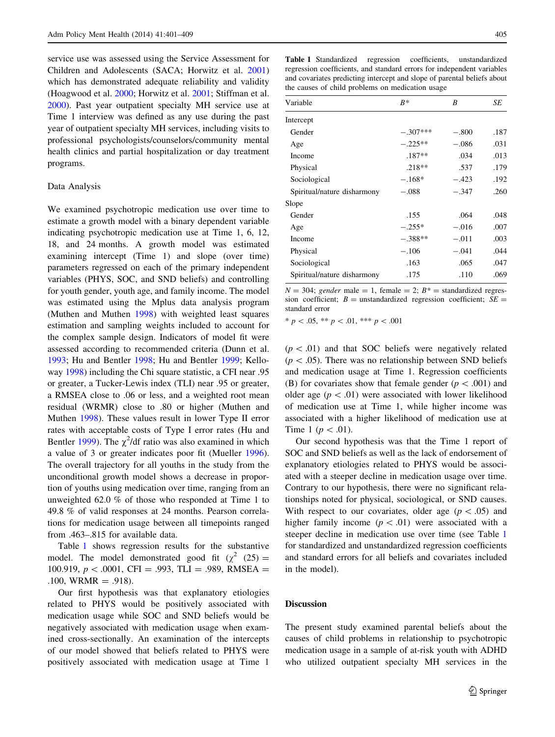service use was assessed using the Service Assessment for Children and Adolescents (SACA; Horwitz et al. [2001\)](#page-7-0) which has demonstrated adequate reliability and validity (Hoagwood et al. [2000](#page-7-0); Horwitz et al. [2001](#page-7-0); Stiffman et al. [2000\)](#page-7-0). Past year outpatient specialty MH service use at Time 1 interview was defined as any use during the past year of outpatient specialty MH services, including visits to professional psychologists/counselors/community mental health clinics and partial hospitalization or day treatment programs.

# Data Analysis

We examined psychotropic medication use over time to estimate a growth model with a binary dependent variable indicating psychotropic medication use at Time 1, 6, 12, 18, and 24 months. A growth model was estimated examining intercept (Time 1) and slope (over time) parameters regressed on each of the primary independent variables (PHYS, SOC, and SND beliefs) and controlling for youth gender, youth age, and family income. The model was estimated using the Mplus data analysis program (Muthen and Muthen [1998\)](#page-7-0) with weighted least squares estimation and sampling weights included to account for the complex sample design. Indicators of model fit were assessed according to recommended criteria (Dunn et al. [1993;](#page-6-0) Hu and Bentler [1998](#page-7-0); Hu and Bentler [1999](#page-7-0); Kelloway [1998](#page-7-0)) including the Chi square statistic, a CFI near .95 or greater, a Tucker-Lewis index (TLI) near .95 or greater, a RMSEA close to .06 or less, and a weighted root mean residual (WRMR) close to .80 or higher (Muthen and Muthen [1998\)](#page-7-0). These values result in lower Type II error rates with acceptable costs of Type I error rates (Hu and Bentler [1999](#page-7-0)). The  $\chi^2$ /df ratio was also examined in which a value of 3 or greater indicates poor fit (Mueller [1996](#page-7-0)). The overall trajectory for all youths in the study from the unconditional growth model shows a decrease in proportion of youths using medication over time, ranging from an unweighted 62.0 % of those who responded at Time 1 to 49.8 % of valid responses at 24 months. Pearson correlations for medication usage between all timepoints ranged from .463–.815 for available data.

Table 1 shows regression results for the substantive model. The model demonstrated good fit ( $\chi^2$  (25) = 100.919,  $p < .0001$ , CFI = .993, TLI = .989, RMSEA = .100, WRMR = .918).

Our first hypothesis was that explanatory etiologies related to PHYS would be positively associated with medication usage while SOC and SND beliefs would be negatively associated with medication usage when examined cross-sectionally. An examination of the intercepts of our model showed that beliefs related to PHYS were positively associated with medication usage at Time 1

Table 1 Standardized regression coefficients, unstandardized regression coefficients, and standard errors for independent variables and covariates predicting intercept and slope of parental beliefs about the causes of child problems on medication usage

| Variable                    | $B^*$      | B       | SE   |
|-----------------------------|------------|---------|------|
| Intercept                   |            |         |      |
| Gender                      | $-.307***$ | $-.800$ | .187 |
| Age                         | $-.225**$  | $-.086$ | .031 |
| <b>Income</b>               | $.187**$   | .034    | .013 |
| Physical                    | $.218**$   | .537    | .179 |
| Sociological                | $-.168*$   | $-.423$ | .192 |
| Spiritual/nature disharmony | $-.088$    | $-.347$ | .260 |
| Slope                       |            |         |      |
| Gender                      | .155       | .064    | .048 |
| Age                         | $-.255*$   | $-.016$ | .007 |
| Income                      | $-.388**$  | $-.011$ | .003 |
| Physical                    | $-.106$    | $-.041$ | .044 |
| Sociological                | .163       | .065    | .047 |
| Spiritual/nature disharmony | .175       | .110    | .069 |

 $N = 304$ ; gender male = 1, female = 2;  $B^* =$  standardized regression coefficient;  $B =$  unstandardized regression coefficient;  $SE =$ standard error

 $* p < .05, ** p < .01, ** p < .001$ 

 $(p<.01)$  and that SOC beliefs were negatively related  $(p\lt.05)$ . There was no relationship between SND beliefs and medication usage at Time 1. Regression coefficients (B) for covariates show that female gender ( $p < .001$ ) and older age  $(p\lt 0.01)$  were associated with lower likelihood of medication use at Time 1, while higher income was associated with a higher likelihood of medication use at Time 1 ( $p\,<\,01$ ).

Our second hypothesis was that the Time 1 report of SOC and SND beliefs as well as the lack of endorsement of explanatory etiologies related to PHYS would be associated with a steeper decline in medication usage over time. Contrary to our hypothesis, there were no significant relationships noted for physical, sociological, or SND causes. With respect to our covariates, older age  $(p\lt 0.05)$  and higher family income  $(p < 0.01)$  were associated with a steeper decline in medication use over time (see Table 1 for standardized and unstandardized regression coefficients and standard errors for all beliefs and covariates included in the model).

# Discussion

The present study examined parental beliefs about the causes of child problems in relationship to psychotropic medication usage in a sample of at-risk youth with ADHD who utilized outpatient specialty MH services in the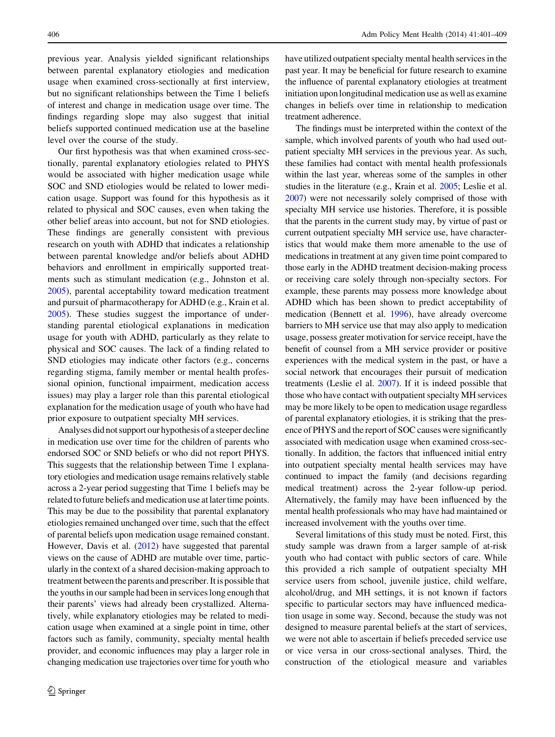previous year. Analysis yielded significant relationships between parental explanatory etiologies and medication usage when examined cross-sectionally at first interview, but no significant relationships between the Time 1 beliefs of interest and change in medication usage over time. The findings regarding slope may also suggest that initial beliefs supported continued medication use at the baseline level over the course of the study.

Our first hypothesis was that when examined cross-sectionally, parental explanatory etiologies related to PHYS would be associated with higher medication usage while SOC and SND etiologies would be related to lower medication usage. Support was found for this hypothesis as it related to physical and SOC causes, even when taking the other belief areas into account, but not for SND etiologies. These findings are generally consistent with previous research on youth with ADHD that indicates a relationship between parental knowledge and/or beliefs about ADHD behaviors and enrollment in empirically supported treatments such as stimulant medication (e.g., Johnston et al. [2005\)](#page-7-0), parental acceptability toward medication treatment and pursuit of pharmacotherapy for ADHD (e.g., Krain et al. [2005\)](#page-7-0). These studies suggest the importance of understanding parental etiological explanations in medication usage for youth with ADHD, particularly as they relate to physical and SOC causes. The lack of a finding related to SND etiologies may indicate other factors (e.g., concerns regarding stigma, family member or mental health professional opinion, functional impairment, medication access issues) may play a larger role than this parental etiological explanation for the medication usage of youth who have had prior exposure to outpatient specialty MH services.

Analyses did not support our hypothesis of a steeper decline in medication use over time for the children of parents who endorsed SOC or SND beliefs or who did not report PHYS. This suggests that the relationship between Time 1 explanatory etiologies and medication usage remains relatively stable across a 2-year period suggesting that Time 1 beliefs may be related to future beliefs and medication use at later time points. This may be due to the possibility that parental explanatory etiologies remained unchanged over time, such that the effect of parental beliefs upon medication usage remained constant. However, Davis et al. ([2012](#page-6-0)) have suggested that parental views on the cause of ADHD are mutable over time, particularly in the context of a shared decision-making approach to treatment between the parents and prescriber. It is possible that the youths in our sample had been in services long enough that their parents' views had already been crystallized. Alternatively, while explanatory etiologies may be related to medication usage when examined at a single point in time, other factors such as family, community, specialty mental health provider, and economic influences may play a larger role in changing medication use trajectories over time for youth who have utilized outpatient specialty mental health services in the past year. It may be beneficial for future research to examine the influence of parental explanatory etiologies at treatment initiation upon longitudinal medication use as well as examine changes in beliefs over time in relationship to medication treatment adherence.

The findings must be interpreted within the context of the sample, which involved parents of youth who had used outpatient specialty MH services in the previous year. As such, these families had contact with mental health professionals within the last year, whereas some of the samples in other studies in the literature (e.g., Krain et al. [2005](#page-7-0); Leslie et al. [2007\)](#page-7-0) were not necessarily solely comprised of those with specialty MH service use histories. Therefore, it is possible that the parents in the current study may, by virtue of past or current outpatient specialty MH service use, have characteristics that would make them more amenable to the use of medications in treatment at any given time point compared to those early in the ADHD treatment decision-making process or receiving care solely through non-specialty sectors. For example, these parents may possess more knowledge about ADHD which has been shown to predict acceptability of medication (Bennett et al. [1996](#page-6-0)), have already overcome barriers to MH service use that may also apply to medication usage, possess greater motivation for service receipt, have the benefit of counsel from a MH service provider or positive experiences with the medical system in the past, or have a social network that encourages their pursuit of medication treatments (Leslie el al. [2007](#page-7-0)). If it is indeed possible that those who have contact with outpatient specialty MH services may be more likely to be open to medication usage regardless of parental explanatory etiologies, it is striking that the presence of PHYS and the report of SOC causes were significantly associated with medication usage when examined cross-sectionally. In addition, the factors that influenced initial entry into outpatient specialty mental health services may have continued to impact the family (and decisions regarding medical treatment) across the 2-year follow-up period. Alternatively, the family may have been influenced by the mental health professionals who may have had maintained or increased involvement with the youths over time.

Several limitations of this study must be noted. First, this study sample was drawn from a larger sample of at-risk youth who had contact with public sectors of care. While this provided a rich sample of outpatient specialty MH service users from school, juvenile justice, child welfare, alcohol/drug, and MH settings, it is not known if factors specific to particular sectors may have influenced medication usage in some way. Second, because the study was not designed to measure parental beliefs at the start of services, we were not able to ascertain if beliefs preceded service use or vice versa in our cross-sectional analyses. Third, the construction of the etiological measure and variables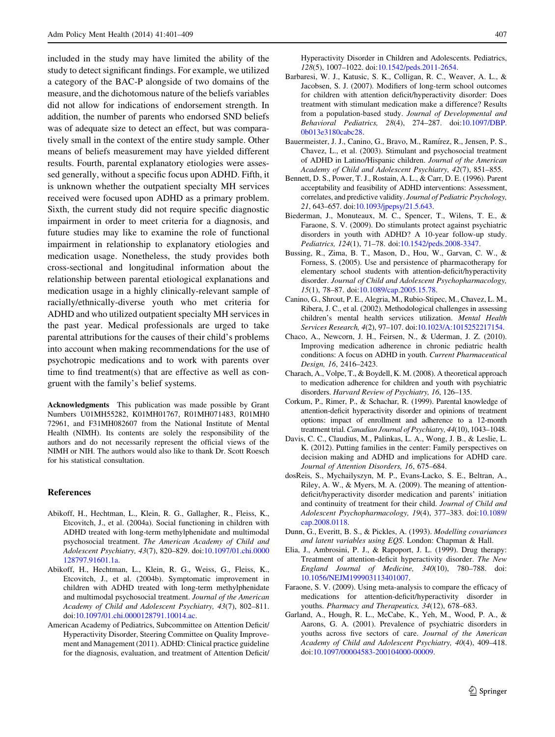<span id="page-6-0"></span>included in the study may have limited the ability of the study to detect significant findings. For example, we utilized a category of the BAC-P alongside of two domains of the measure, and the dichotomous nature of the beliefs variables did not allow for indications of endorsement strength. In addition, the number of parents who endorsed SND beliefs was of adequate size to detect an effect, but was comparatively small in the context of the entire study sample. Other means of beliefs measurement may have yielded different results. Fourth, parental explanatory etiologies were assessed generally, without a specific focus upon ADHD. Fifth, it is unknown whether the outpatient specialty MH services received were focused upon ADHD as a primary problem. Sixth, the current study did not require specific diagnostic impairment in order to meet criteria for a diagnosis, and future studies may like to examine the role of functional impairment in relationship to explanatory etiologies and medication usage. Nonetheless, the study provides both cross-sectional and longitudinal information about the relationship between parental etiological explanations and medication usage in a highly clinically-relevant sample of racially/ethnically-diverse youth who met criteria for ADHD and who utilized outpatient specialty MH services in the past year. Medical professionals are urged to take parental attributions for the causes of their child's problems into account when making recommendations for the use of psychotropic medications and to work with parents over time to find treatment(s) that are effective as well as congruent with the family's belief systems.

Acknowledgments This publication was made possible by Grant Numbers U01MH55282, K01MH01767, R01MH071483, R01MH0 72961, and F31MH082607 from the National Institute of Mental Health (NIMH). Its contents are solely the responsibility of the authors and do not necessarily represent the official views of the NIMH or NIH. The authors would also like to thank Dr. Scott Roesch for his statistical consultation.

#### References

- Abikoff, H., Hechtman, L., Klein, R. G., Gallagher, R., Fleiss, K., Etcovitch, J., et al. (2004a). Social functioning in children with ADHD treated with long-term methylphenidate and multimodal psychosocial treatment. The American Academy of Child and Adolescent Psychiatry, 43(7), 820–829. doi[:10.1097/01.chi.0000](http://dx.doi.org/10.1097/01.chi.0000128797.91601.1a) [128797.91601.1a.](http://dx.doi.org/10.1097/01.chi.0000128797.91601.1a)
- Abikoff, H., Hechtman, L., Klein, R. G., Weiss, G., Fleiss, K., Etcovitch, J., et al. (2004b). Symptomatic improvement in children with ADHD treated with long-term methylphenidate and multimodal psychosocial treatment. Journal of the American Academy of Child and Adolescent Psychiatry, 43(7), 802–811. doi[:10.1097/01.chi.0000128791.10014.ac.](http://dx.doi.org/10.1097/01.chi.0000128791.10014.ac)
- American Academy of Pediatrics, Subcommittee on Attention Deficit/ Hyperactivity Disorder, Steering Committee on Quality Improvement and Management (2011). ADHD: Clinical practice guideline for the diagnosis, evaluation, and treatment of Attention Deficit/

Hyperactivity Disorder in Children and Adolescents. Pediatrics, 128(5), 1007–1022. doi:[10.1542/peds.2011-2654.](http://dx.doi.org/10.1542/peds.2011-2654)

- Barbaresi, W. J., Katusic, S. K., Colligan, R. C., Weaver, A. L., & Jacobsen, S. J. (2007). Modifiers of long-term school outcomes for children with attention deficit/hyperactivity disorder: Does treatment with stimulant medication make a difference? Results from a population-based study. Journal of Developmental and Behavioral Pediatrics, 28(4), 274–287. doi:[10.1097/DBP.](http://dx.doi.org/10.1097/DBP.0b013e3180cabc28) [0b013e3180cabc28](http://dx.doi.org/10.1097/DBP.0b013e3180cabc28).
- Bauermeister, J. J., Canino, G., Bravo, M., Ramírez, R., Jensen, P. S., Chavez, L., et al. (2003). Stimulant and psychosocial treatment of ADHD in Latino/Hispanic children. Journal of the American Academy of Child and Adolescent Psychiatry, 42(7), 851–855.
- Bennett, D. S., Power, T. J., Rostain, A. L., & Carr, D. E. (1996). Parent acceptability and feasibility of ADHD interventions: Assessment, correlates, and predictive validity. Journal of Pediatric Psychology, 21, 643–657. doi:[10.1093/jpepsy/21.5.643](http://dx.doi.org/10.1093/jpepsy/21.5.643).
- Biederman, J., Monuteaux, M. C., Spencer, T., Wilens, T. E., & Faraone, S. V. (2009). Do stimulants protect against psychiatric disorders in youth with ADHD? A 10-year follow-up study. Pediatrics, 124(1), 71–78. doi:[10.1542/peds.2008-3347](http://dx.doi.org/10.1542/peds.2008-3347).
- Bussing, R., Zima, B. T., Mason, D., Hou, W., Garvan, C. W., & Forness, S. (2005). Use and persistence of pharmacotherapy for elementary school students with attention-deficit/hyperactivity disorder. Journal of Child and Adolescent Psychopharmacology, 15(1), 78–87. doi:[10.1089/cap.2005.15.78.](http://dx.doi.org/10.1089/cap.2005.15.78)
- Canino, G., Shrout, P. E., Alegria, M., Rubio-Stipec, M., Chavez, L. M., Ribera, J. C., et al. (2002). Methodological challenges in assessing children's mental health services utilization. Mental Health Services Research, 4(2), 97–107. doi[:10.1023/A:1015252217154.](http://dx.doi.org/10.1023/A:1015252217154)
- Chaco, A., Newcorn, J. H., Feirsen, N., & Uderman, J. Z. (2010). Improving medication adherence in chronic pediatric health conditions: A focus on ADHD in youth. Current Pharmaceutical Design, 16, 2416–2423.
- Charach, A., Volpe, T., & Boydell, K. M. (2008). A theoretical approach to medication adherence for children and youth with psychiatric disorders. Harvard Review of Psychiatry, 16, 126–135.
- Corkum, P., Rimer, P., & Schachar, R. (1999). Parental knowledge of attention-deficit hyperactivity disorder and opinions of treatment options: impact of enrollment and adherence to a 12-month treatment trial. Canadian Journal of Psychiatry, 44(10), 1043-1048.
- Davis, C. C., Claudius, M., Palinkas, L. A., Wong, J. B., & Leslie, L. K. (2012). Putting families in the center: Family perspectives on decision making and ADHD and implications for ADHD care. Journal of Attention Disorders, 16, 675–684.
- dosReis, S., Mychailyszyn, M. P., Evans-Lacko, S. E., Beltran, A., Riley, A. W., & Myers, M. A. (2009). The meaning of attentiondeficit/hyperactivity disorder medication and parents' initiation and continuity of treatment for their child. Journal of Child and Adolescent Psychopharmacology, 19(4), 377–383. doi[:10.1089/](http://dx.doi.org/10.1089/cap.2008.0118) [cap.2008.0118](http://dx.doi.org/10.1089/cap.2008.0118).
- Dunn, G., Everitt, B. S., & Pickles, A. (1993). Modelling covariances and latent variables using EQS. London: Chapman & Hall.
- Elia, J., Ambrosini, P. J., & Rapoport, J. L. (1999). Drug therapy: Treatment of attention-deficit hyperactivity disorder. The New England Journal of Medicine, 340(10), 780–788. doi: [10.1056/NEJM199903113401007.](http://dx.doi.org/10.1056/NEJM199903113401007)
- Faraone, S. V. (2009). Using meta-analysis to compare the efficacy of medications for attention-deficit/hyperactivity disorder in youths. Pharmacy and Therapeutics, 34(12), 678–683.
- Garland, A., Hough, R. L., McCabe, K., Yeh, M., Wood, P. A., & Aarons, G. A. (2001). Prevalence of psychiatric disorders in youths across five sectors of care. Journal of the American Academy of Child and Adolescent Psychiatry, 40(4), 409–418. doi[:10.1097/00004583-200104000-00009](http://dx.doi.org/10.1097/00004583-200104000-00009).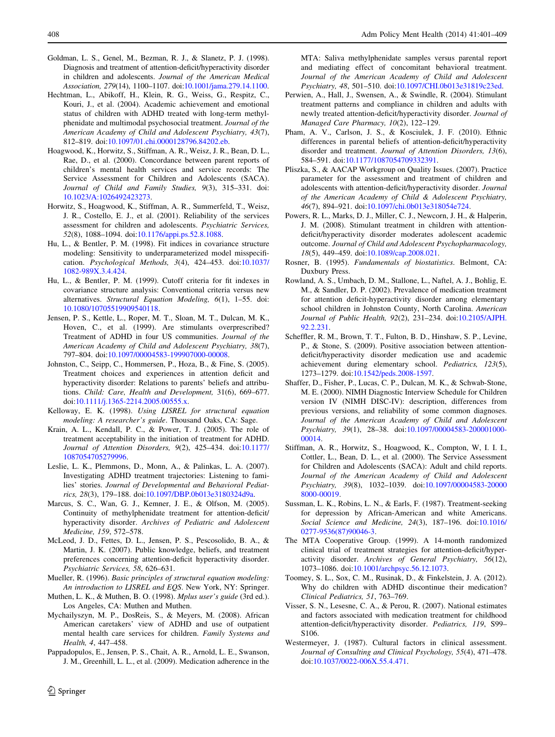- <span id="page-7-0"></span>Goldman, L. S., Genel, M., Bezman, R. J., & Slanetz, P. J. (1998). Diagnosis and treatment of attention-deficit/hyperactivity disorder in children and adolescents. Journal of the American Medical Association, 279(14), 1100–1107. doi:[10.1001/jama.279.14.1100.](http://dx.doi.org/10.1001/jama.279.14.1100)
- Hechtman, L., Abikoff, H., Klein, R. G., Weiss, G., Respitz, C., Kouri, J., et al. (2004). Academic achievement and emotional status of children with ADHD treated with long-term methylphenidate and multimodal psychosocial treatment. Journal of the American Academy of Child and Adolescent Psychiatry, 43(7), 812–819. doi:[10.1097/01.chi.0000128796.84202.eb.](http://dx.doi.org/10.1097/01.chi.0000128796.84202.eb)
- Hoagwood, K., Horwitz, S., Stiffman, A. R., Weisz, J. R., Bean, D. L., Rae, D., et al. (2000). Concordance between parent reports of children's mental health services and service records: The Service Assessment for Children and Adolescents (SACA). Journal of Child and Family Studies, 9(3), 315–331. doi: [10.1023/A:1026492423273](http://dx.doi.org/10.1023/A:1026492423273).
- Horwitz, S., Hoagwood, K., Stiffman, A. R., Summerfeld, T., Weisz, J. R., Costello, E. J., et al. (2001). Reliability of the services assessment for children and adolescents. Psychiatric Services, 52(8), 1088–1094. doi:[10.1176/appi.ps.52.8.1088.](http://dx.doi.org/10.1176/appi.ps.52.8.1088)
- Hu, L., & Bentler, P. M. (1998). Fit indices in covariance structure modeling: Sensitivity to underparameterized model misspecification. Psychological Methods, 3(4), 424–453. doi[:10.1037/](http://dx.doi.org/10.1037/1082-989X.3.4.424) [1082-989X.3.4.424](http://dx.doi.org/10.1037/1082-989X.3.4.424).
- Hu, L., & Bentler, P. M. (1999). Cutoff criteria for fit indexes in covariance structure analysis: Conventional criteria versus new alternatives. Structural Equation Modeling, 6(1), 1–55. doi: [10.1080/10705519909540118.](http://dx.doi.org/10.1080/10705519909540118)
- Jensen, P. S., Kettle, L., Roper, M. T., Sloan, M. T., Dulcan, M. K., Hoven, C., et al. (1999). Are stimulants overprescribed? Treatment of ADHD in four US communities. Journal of the American Academy of Child and Adolescent Psychiatry, 38(7), 797–804. doi:[10.1097/00004583-199907000-00008.](http://dx.doi.org/10.1097/00004583-199907000-00008)
- Johnston, C., Seipp, C., Hommersen, P., Hoza, B., & Fine, S. (2005). Treatment choices and experiences in attention deficit and hyperactivity disorder: Relations to parents' beliefs and attributions. Child: Care, Health and Development, 31(6), 669–677. doi[:10.1111/j.1365-2214.2005.00555.x](http://dx.doi.org/10.1111/j.1365-2214.2005.00555.x).
- Kelloway, E. K. (1998). Using LISREL for structural equation modeling: A researcher's guide. Thousand Oaks, CA: Sage.
- Krain, A. L., Kendall, P. C., & Power, T. J. (2005). The role of treatment acceptability in the initiation of treatment for ADHD. Journal of Attention Disorders, 9(2), 425–434. doi[:10.1177/](http://dx.doi.org/10.1177/1087054705279996) [1087054705279996.](http://dx.doi.org/10.1177/1087054705279996)
- Leslie, L. K., Plemmons, D., Monn, A., & Palinkas, L. A. (2007). Investigating ADHD treatment trajectories: Listening to families' stories. Journal of Developmental and Behavioral Pediatrics, 28(3), 179–188. doi:[10.1097/DBP.0b013e3180324d9a](http://dx.doi.org/10.1097/DBP.0b013e3180324d9a).
- Marcus, S. C., Wan, G. J., Kemner, J. E., & Olfson, M. (2005). Continuity of methylphenidate treatment for attention-deficit/ hyperactivity disorder. Archives of Pediatric and Adolescent Medicine, 159, 572–578.
- McLeod, J. D., Fettes, D. L., Jensen, P. S., Pescosolido, B. A., & Martin, J. K. (2007). Public knowledge, beliefs, and treatment preferences concerning attention-deficit hyperactivity disorder. Psychiatric Services, 58, 626–631.
- Mueller, R. (1996). Basic principles of structural equation modeling: An introduction to LISREL and EQS. New York, NY: Springer.
- Muthen, L. K., & Muthen, B. O. (1998). Mplus user's guide (3rd ed.). Los Angeles, CA: Muthen and Muthen.
- Mychailyszyn, M. P., DosReis, S., & Meyers, M. (2008). African American caretakers' view of ADHD and use of outpatient mental health care services for children. Family Systems and Health, 4, 447–458.
- Pappadopulos, E., Jensen, P. S., Chait, A. R., Arnold, L. E., Swanson, J. M., Greenhill, L. L., et al. (2009). Medication adherence in the

<sup>2</sup> Springer

MTA: Saliva methylphenidate samples versus parental report and mediating effect of concomitant behavioral treatment. Journal of the American Academy of Child and Adolescent Psychiatry, 48, 501–510. doi:[10.1097/CHI.0b013e31819c23ed.](http://dx.doi.org/10.1097/CHI.0b013e31819c23ed)

- Perwien, A., Hall, J., Swensen, A., & Swindle, R. (2004). Stimulant treatment patterns and compliance in children and adults with newly treated attention-deficit/hyperactivity disorder. Journal of Managed Care Pharmacy, 10(2), 122–129.
- Pham, A. V., Carlson, J. S., & Kosciulek, J. F. (2010). Ethnic differences in parental beliefs of attention-deficit/hyperactivity disorder and treatment. Journal of Attention Disorders, 13(6), 584–591. doi:[10.1177/1087054709332391.](http://dx.doi.org/10.1177/1087054709332391)
- Pliszka, S., & AACAP Workgroup on Quality Issues. (2007). Practice parameter for the assessment and treatment of children and adolescents with attention-deficit/hyperactivity disorder. Journal of the American Academy of Child & Adolescent Psychiatry, 46(7), 894–921. doi[:10.1097/chi.0b013e318054e724.](http://dx.doi.org/10.1097/chi.0b013e318054e724)
- Powers, R. L., Marks, D. J., Miller, C. J., Newcorn, J. H., & Halperin, J. M. (2008). Stimulant treatment in children with attentiondeficit/hyperactivity disorder moderates adolescent academic outcome. Journal of Child and Adolescent Psychopharmacology, 18(5), 449–459. doi[:10.1089/cap.2008.021.](http://dx.doi.org/10.1089/cap.2008.021)
- Rosner, B. (1995). Fundamentals of biostatistics. Belmont, CA: Duxbury Press.
- Rowland, A. S., Umbach, D. M., Stallone, L., Naftel, A. J., Bohlig, E. M., & Sandler, D. P. (2002). Prevalence of medication treatment for attention deficit-hyperactivity disorder among elementary school children in Johnston County, North Carolina. American Journal of Public Health, 92(2), 231–234. doi[:10.2105/AJPH.](http://dx.doi.org/10.2105/AJPH.92.2.231) [92.2.231.](http://dx.doi.org/10.2105/AJPH.92.2.231)
- Scheffler, R. M., Brown, T. T., Fulton, B. D., Hinshaw, S. P., Levine, P., & Stone, S. (2009). Positive association between attentiondeficit/hyperactivity disorder medication use and academic achievement during elementary school. Pediatrics, 123(5), 1273–1279. doi[:10.1542/peds.2008-1597.](http://dx.doi.org/10.1542/peds.2008-1597)
- Shaffer, D., Fisher, P., Lucas, C. P., Dulcan, M. K., & Schwab-Stone, M. E. (2000). NIMH Diagnostic Interview Schedule for Children version IV (NIMH DISC-IV): description, differences from previous versions, and reliability of some common diagnoses. Journal of the American Academy of Child and Adolescent Psychiatry, 39(1), 28–38. doi:[10.1097/00004583-200001000-](http://dx.doi.org/10.1097/00004583-200001000-00014) [00014](http://dx.doi.org/10.1097/00004583-200001000-00014).
- Stiffman, A. R., Horwitz, S., Hoagwood, K., Compton, W, I. I. I., Cottler, L., Bean, D. L., et al. (2000). The Service Assessment for Children and Adolescents (SACA): Adult and child reports. Journal of the American Academy of Child and Adolescent Psychiatry, 39(8), 1032–1039. doi[:10.1097/00004583-20000](http://dx.doi.org/10.1097/00004583-200008000-00019) [8000-00019](http://dx.doi.org/10.1097/00004583-200008000-00019).
- Sussman, L. K., Robins, L. N., & Earls, F. (1987). Treatment-seeking for depression by African-American and white Americans. Social Science and Medicine, 24(3), 187–196. doi[:10.1016/](http://dx.doi.org/10.1016/0277-9536(87)90046-3) [0277-9536\(87\)90046-3](http://dx.doi.org/10.1016/0277-9536(87)90046-3).
- The MTA Cooperative Group. (1999). A 14-month randomized clinical trial of treatment strategies for attention-deficit/hyperactivity disorder. Archives of General Psychiatry, 56(12), 1073–1086. doi[:10.1001/archpsyc.56.12.1073.](http://dx.doi.org/10.1001/archpsyc.56.12.1073)
- Toomey, S. L., Sox, C. M., Rusinak, D., & Finkelstein, J. A. (2012). Why do children with ADHD discontinue their medication? Clinical Pediatrics, 51, 763–769.
- Visser, S. N., Lesesne, C. A., & Perou, R. (2007). National estimates and factors associated with medication treatment for childhood attention-deficit/hyperactivity disorder. Pediatrics, 119, S99– S106.
- Westermeyer, J. (1987). Cultural factors in clinical assessment. Journal of Consulting and Clinical Psychology, 55(4), 471–478. doi[:10.1037/0022-006X.55.4.471.](http://dx.doi.org/10.1037/0022-006X.55.4.471)